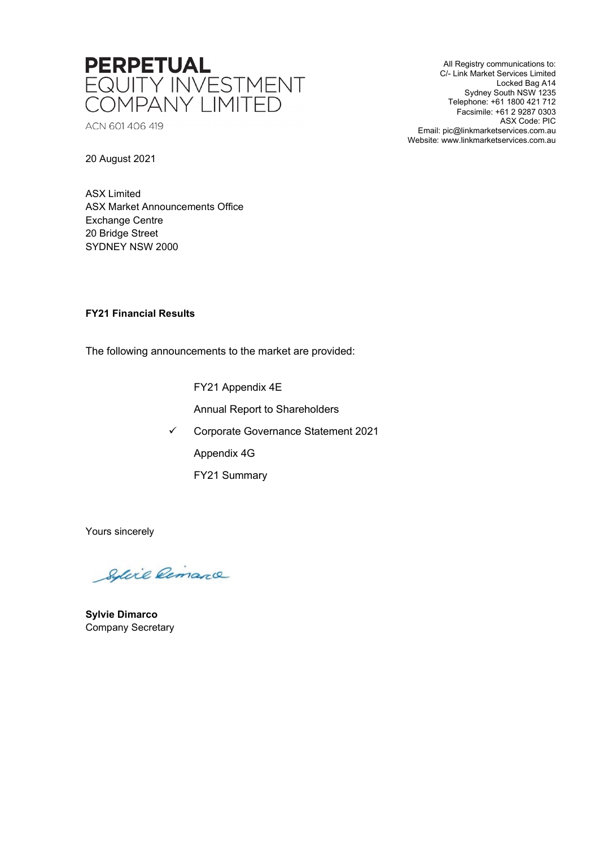

ACN 601 406 419

All Registry communications to: C/- Link Market Services Limited Locked Bag A14 Sydney South NSW 1235 Telephone: +61 1800 421 712 Facsimile: +61 2 9287 0303 ASX Code: PIC Email: pic@linkmarketservices.com.au Website: www.linkmarketservices.com.au

20 August 2021

ASX Limited ASX Market Announcements Office Exchange Centre 20 Bridge Street SYDNEY NSW 2000

# **FY21 Financial Results**

The following announcements to the market are provided:

FY21 Appendix 4E

Annual Report to Shareholders

Corporate Governance Statement 2021

Appendix 4G

FY21 Summary

Yours sincerely

Solice Remarce

**Sylvie Dimarco** Company Secretary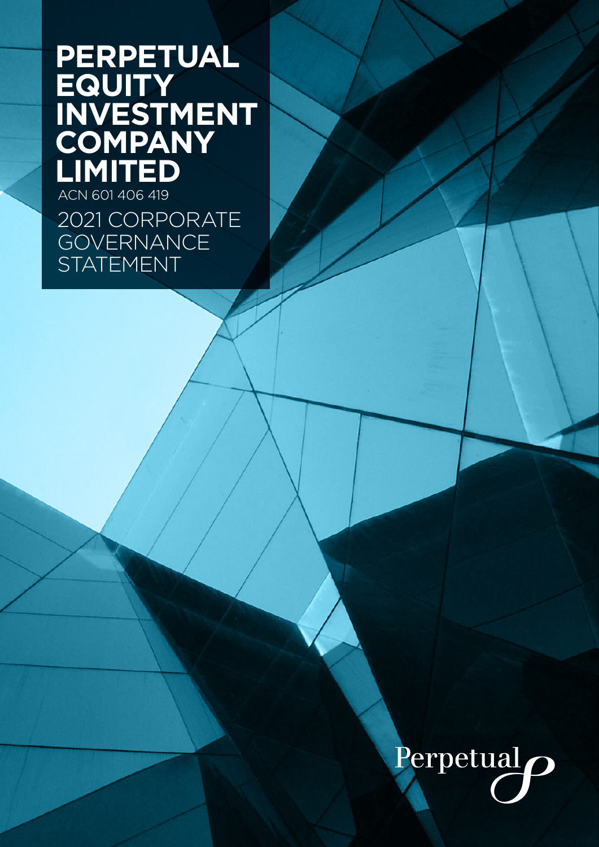# **PERPETUAL EQUITY INVESTMENT COMPANY LIMITED**

2021 CORPORATE **GOVERNANCE STATEMENT** 

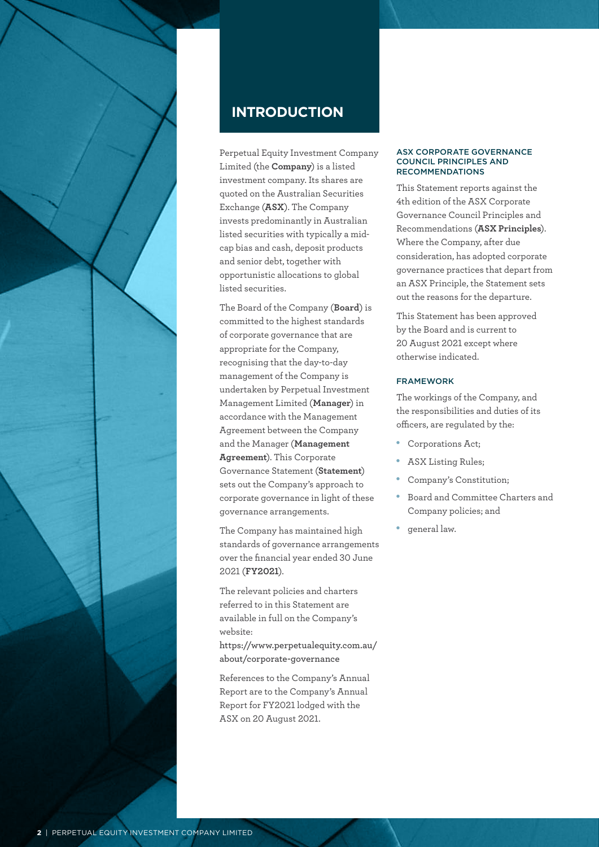

# **INTRODUCTION**

Perpetual Equity Investment Company Limited (the **Company**) is a listed investment company. Its shares are quoted on the Australian Securities Exchange (**ASX**). The Company invests predominantly in Australian listed securities with typically a midcap bias and cash, deposit products and senior debt, together with opportunistic allocations to global listed securities.

The Board of the Company (**Board**) is committed to the highest standards of corporate governance that are appropriate for the Company, recognising that the day-to-day management of the Company is undertaken by Perpetual Investment Management Limited (**Manager**) in accordance with the Management Agreement between the Company and the Manager (**Management Agreement**). This Corporate Governance Statement (**Statement**) sets out the Company's approach to corporate governance in light of these governance arrangements.

The Company has maintained high standards of governance arrangements over the financial year ended 30 June 2021 (**FY2021**).

The relevant policies and charters referred to in this Statement are available in full on the Company's website:

**[https://www.perpetualequity.com.au/](https://www.perpetualequity.com.au/about/corporate-governance) [about/corporate-governance](https://www.perpetualequity.com.au/about/corporate-governance)**

References to the Company's Annual Report are to the Company's Annual Report for FY2021 lodged with the ASX on 20 August 2021.

#### ASX CORPORATE GOVERNANCE COUNCIL PRINCIPLES AND RECOMMENDATIONS

This Statement reports against the 4th edition of the ASX Corporate Governance Council Principles and Recommendations (**ASX Principles**). Where the Company, after due consideration, has adopted corporate governance practices that depart from an ASX Principle, the Statement sets out the reasons for the departure.

This Statement has been approved by the Board and is current to 20 August 2021 except where otherwise indicated.

# FRAMEWORK

The workings of the Company, and the responsibilities and duties of its officers, are regulated by the:

- Corporations Act;
- ASX Listing Rules;
- Company's Constitution:
- Board and Committee Charters and Company policies; and
- • general law.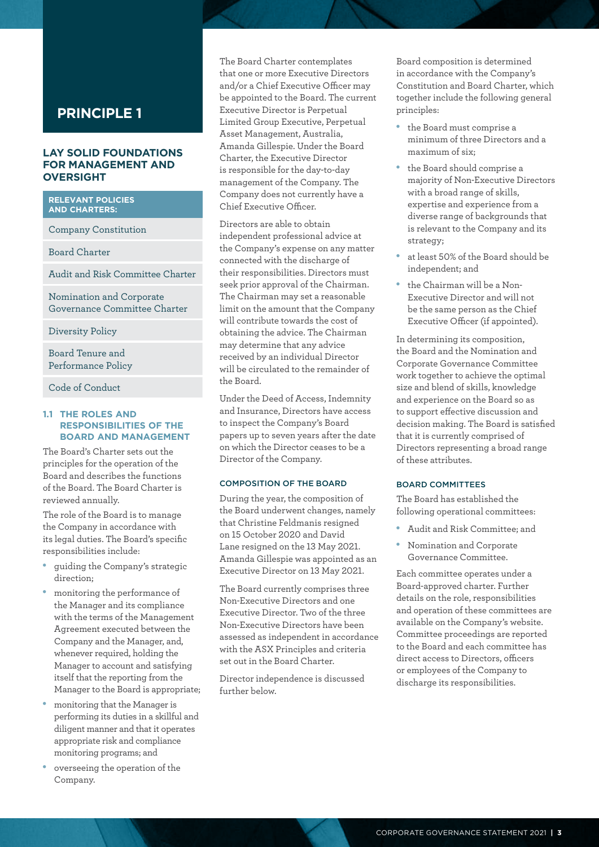# **LAY SOLID FOUNDATIONS FOR MANAGEMENT AND OVERSIGHT**

# **RELEVANT POLICIES AND CHARTERS:**

Company Constitution

Board Charter

Audit and Risk Committee Charter

Nomination and Corporate Governance Committee Charter

Diversity Policy

Board Tenure and Performance Policy

Code of Conduct

#### **1.1 THE ROLES AND RESPONSIBILITIES OF THE BOARD AND MANAGEMENT**

The Board's Charter sets out the principles for the operation of the Board and describes the functions of the Board. The Board Charter is reviewed annually.

The role of the Board is to manage the Company in accordance with its legal duties. The Board's specific responsibilities include:

- guiding the Company's strategic direction;
- monitoring the performance of the Manager and its compliance with the terms of the Management Agreement executed between the Company and the Manager, and, whenever required, holding the Manager to account and satisfying itself that the reporting from the Manager to the Board is appropriate;
- monitoring that the Manager is performing its duties in a skillful and diligent manner and that it operates appropriate risk and compliance monitoring programs; and
- overseeing the operation of the Company.

The Board Charter contemplates that one or more Executive Directors and/or a Chief Executive Officer may be appointed to the Board. The current Executive Director is Perpetual Limited Group Executive, Perpetual Asset Management, Australia, Amanda Gillespie. Under the Board Charter, the Executive Director is responsible for the day-to-day management of the Company. The Company does not currently have a Chief Executive Officer.

Directors are able to obtain independent professional advice at the Company's expense on any matter connected with the discharge of their responsibilities. Directors must seek prior approval of the Chairman. The Chairman may set a reasonable limit on the amount that the Company will contribute towards the cost of obtaining the advice. The Chairman may determine that any advice received by an individual Director will be circulated to the remainder of the Board.

Under the Deed of Access, Indemnity and Insurance, Directors have access to inspect the Company's Board papers up to seven years after the date on which the Director ceases to be a Director of the Company.

#### COMPOSITION OF THE BOARD

During the year, the composition of the Board underwent changes, namely that Christine Feldmanis resigned on 15 October 2020 and David Lane resigned on the 13 May 2021. Amanda Gillespie was appointed as an Executive Director on 13 May 2021.

The Board currently comprises three Non-Executive Directors and one Executive Director. Two of the three Non-Executive Directors have been assessed as independent in accordance with the ASX Principles and criteria set out in the Board Charter.

Director independence is discussed further below.

Board composition is determined in accordance with the Company's Constitution and Board Charter, which together include the following general principles:

- • the Board must comprise a minimum of three Directors and a maximum of six;
- the Board should comprise a majority of Non-Executive Directors with a broad range of skills, expertise and experience from a diverse range of backgrounds that is relevant to the Company and its strategy;
- at least 50% of the Board should be independent; and
- the Chairman will be a Non-Executive Director and will not be the same person as the Chief Executive Officer (if appointed).

In determining its composition, the Board and the Nomination and Corporate Governance Committee work together to achieve the optimal size and blend of skills, knowledge and experience on the Board so as to support effective discussion and decision making. The Board is satisfied that it is currently comprised of Directors representing a broad range of these attributes.

# BOARD COMMITTEES

The Board has established the following operational committees:

- Audit and Risk Committee; and
- Nomination and Corporate Governance Committee.

Each committee operates under a Board-approved charter. Further details on the role, responsibilities and operation of these committees are available on the Company's website. Committee proceedings are reported to the Board and each committee has direct access to Directors, officers or employees of the Company to discharge its responsibilities.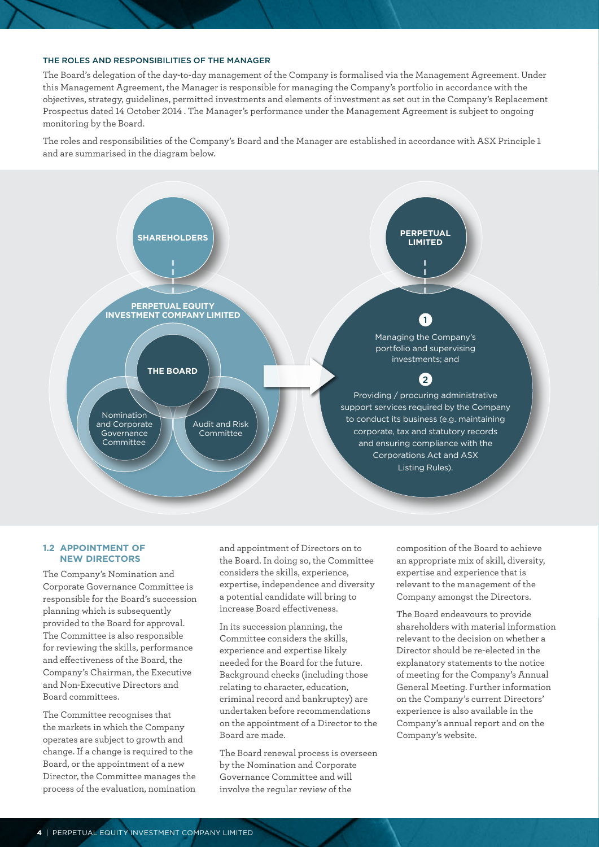#### THE ROLES AND RESPONSIBILITIES OF THE MANAGER

The Board's delegation of the day-to-day management of the Company is formalised via the Management Agreement. Under this Management Agreement, the Manager is responsible for managing the Company's portfolio in accordance with the objectives, strategy, guidelines, permitted investments and elements of investment as set out in the Company's Replacement Prospectus dated 14 October 2014 . The Manager's performance under the Management Agreement is subject to ongoing monitoring by the Board.

The roles and responsibilities of the Company's Board and the Manager are established in accordance with ASX Principle 1 and are summarised in the diagram below.



#### **1.2 APPOINTMENT OF NEW DIRECTORS**

The Company's Nomination and Corporate Governance Committee is responsible for the Board's succession planning which is subsequently provided to the Board for approval. The Committee is also responsible for reviewing the skills, performance and effectiveness of the Board, the Company's Chairman, the Executive and Non-Executive Directors and Board committees.

The Committee recognises that the markets in which the Company operates are subject to growth and change. If a change is required to the Board, or the appointment of a new Director, the Committee manages the process of the evaluation, nomination and appointment of Directors on to the Board. In doing so, the Committee considers the skills, experience, expertise, independence and diversity a potential candidate will bring to increase Board effectiveness.

In its succession planning, the Committee considers the skills, experience and expertise likely needed for the Board for the future. Background checks (including those relating to character, education, criminal record and bankruptcy) are undertaken before recommendations on the appointment of a Director to the Board are made.

The Board renewal process is overseen by the Nomination and Corporate Governance Committee and will involve the regular review of the

composition of the Board to achieve an appropriate mix of skill, diversity, expertise and experience that is relevant to the management of the Company amongst the Directors.

The Board endeavours to provide shareholders with material information relevant to the decision on whether a Director should be re-elected in the explanatory statements to the notice of meeting for the Company's Annual General Meeting. Further information on the Company's current Directors' experience is also available in the Company's annual report and on the Company's website.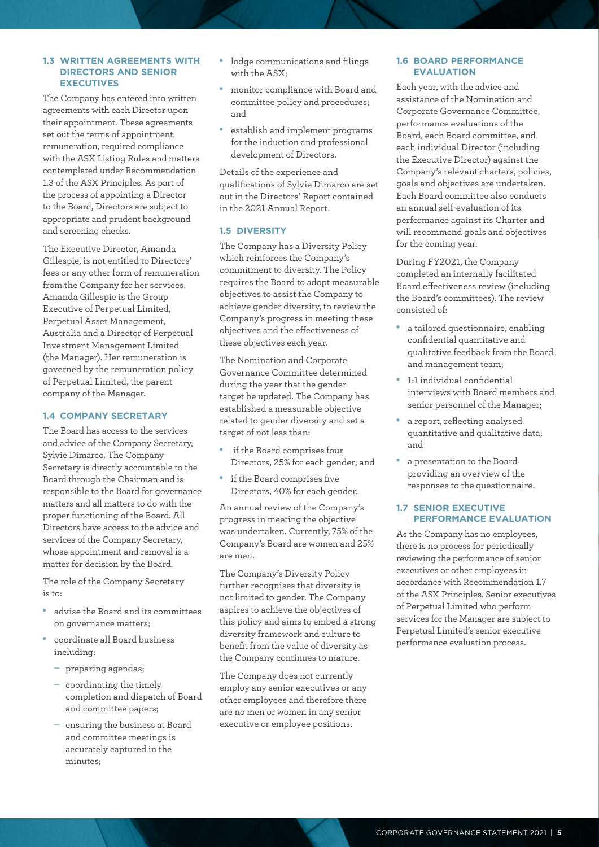#### **1.3 WRITTEN AGREEMENTS WITH DIRECTORS AND SENIOR EXECUTIVES**

The Company has entered into written agreements with each Director upon their appointment. These agreements set out the terms of appointment, remuneration, required compliance with the ASX Listing Rules and matters contemplated under Recommendation 1.3 of the ASX Principles. As part of the process of appointing a Director to the Board, Directors are subject to appropriate and prudent background and screening checks.

The Executive Director, Amanda Gillespie, is not entitled to Directors' fees or any other form of remuneration from the Company for her services. Amanda Gillespie is the Group Executive of Perpetual Limited, Perpetual Asset Management, Australia and a Director of Perpetual Investment Management Limited (the Manager). Her remuneration is governed by the remuneration policy of Perpetual Limited, the parent company of the Manager.

#### **1.4 COMPANY SECRETARY**

The Board has access to the services and advice of the Company Secretary, Sylvie Dimarco. The Company Secretary is directly accountable to the Board through the Chairman and is responsible to the Board for governance matters and all matters to do with the proper functioning of the Board. All Directors have access to the advice and services of the Company Secretary, whose appointment and removal is a matter for decision by the Board.

The role of the Company Secretary is to:

- advise the Board and its committees on governance matters;
- coordinate all Board business including:
	- preparing agendas;
	- coordinating the timely completion and dispatch of Board and committee papers;
	- ensuring the business at Board and committee meetings is accurately captured in the minutes;
- lodge communications and filings with the ASX;
- monitor compliance with Board and committee policy and procedures; and
- establish and implement programs for the induction and professional development of Directors.

Details of the experience and qualifications of Sylvie Dimarco are set out in the Directors' Report contained in the 2021 Annual Report.

### **1.5 DIVERSITY**

The Company has a Diversity Policy which reinforces the Company's commitment to diversity. The Policy requires the Board to adopt measurable objectives to assist the Company to achieve gender diversity, to review the Company's progress in meeting these objectives and the effectiveness of these objectives each year.

The Nomination and Corporate Governance Committee determined during the year that the gender target be updated. The Company has established a measurable objective related to gender diversity and set a target of not less than:

- if the Board comprises four Directors, 25% for each gender; and
- • if the Board comprises five Directors, 40% for each gender.

An annual review of the Company's progress in meeting the objective was undertaken. Currently, 75% of the Company's Board are women and 25% are men.

The Company's Diversity Policy further recognises that diversity is not limited to gender. The Company aspires to achieve the objectives of this policy and aims to embed a strong diversity framework and culture to benefit from the value of diversity as the Company continues to mature.

The Company does not currently employ any senior executives or any other employees and therefore there are no men or women in any senior executive or employee positions.

# **1.6 BOARD PERFORMANCE EVALUATION**

Each year, with the advice and assistance of the Nomination and Corporate Governance Committee, performance evaluations of the Board, each Board committee, and each individual Director (including the Executive Director) against the Company's relevant charters, policies, goals and objectives are undertaken. Each Board committee also conducts an annual self-evaluation of its performance against its Charter and will recommend goals and objectives for the coming year.

During FY2021, the Company completed an internally facilitated Board effectiveness review (including the Board's committees). The review consisted of:

- a tailored questionnaire, enabling confidential quantitative and qualitative feedback from the Board and management team;
- 1:1 individual confidential interviews with Board members and senior personnel of the Manager;
- a report, reflecting analysed quantitative and qualitative data; and
- a presentation to the Board providing an overview of the responses to the questionnaire.

#### **1.7 SENIOR EXECUTIVE PERFORMANCE EVALUATION**

As the Company has no employees, there is no process for periodically reviewing the performance of senior executives or other employees in accordance with Recommendation 1.7 of the ASX Principles. Senior executives of Perpetual Limited who perform services for the Manager are subject to Perpetual Limited's senior executive performance evaluation process.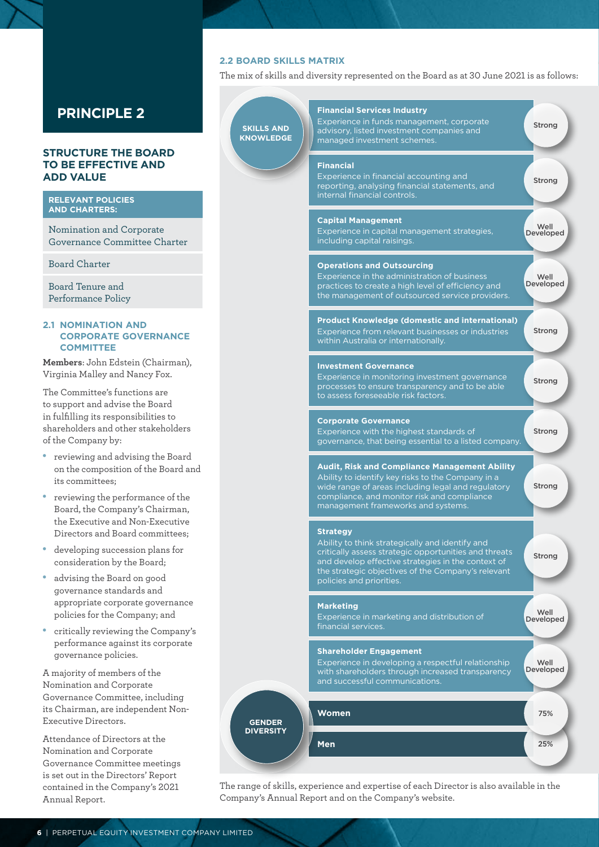# **STRUCTURE THE BOARD TO BE EFFECTIVE AND ADD VALUE**

#### **RELEVANT POLICIES AND CHARTERS:**

Nomination and Corporate Governance Committee Charter

Board Charter

Board Tenure and Performance Policy

#### **2.1 NOMINATION AND CORPORATE GOVERNANCE COMMITTEE**

**Members**: John Edstein (Chairman), Virginia Malley and Nancy Fox.

The Committee's functions are to support and advise the Board in fulfilling its responsibilities to shareholders and other stakeholders of the Company by:

- • reviewing and advising the Board on the composition of the Board and its committees;
- reviewing the performance of the Board, the Company's Chairman, the Executive and Non-Executive Directors and Board committees;
- developing succession plans for consideration by the Board;
- advising the Board on good governance standards and appropriate corporate governance policies for the Company; and
- critically reviewing the Company's performance against its corporate governance policies.

A majority of members of the Nomination and Corporate Governance Committee, including its Chairman, are independent Non-Executive Directors.

Attendance of Directors at the Nomination and Corporate Governance Committee meetings is set out in the Directors' Report contained in the Company's 2021 Annual Report.

# **2.2 BOARD SKILLS MATRIX**

The mix of skills and diversity represented on the Board as at 30 June 2021 is as follows:



The range of skills, experience and expertise of each Director is also available in the Company's Annual Report and on the Company's website.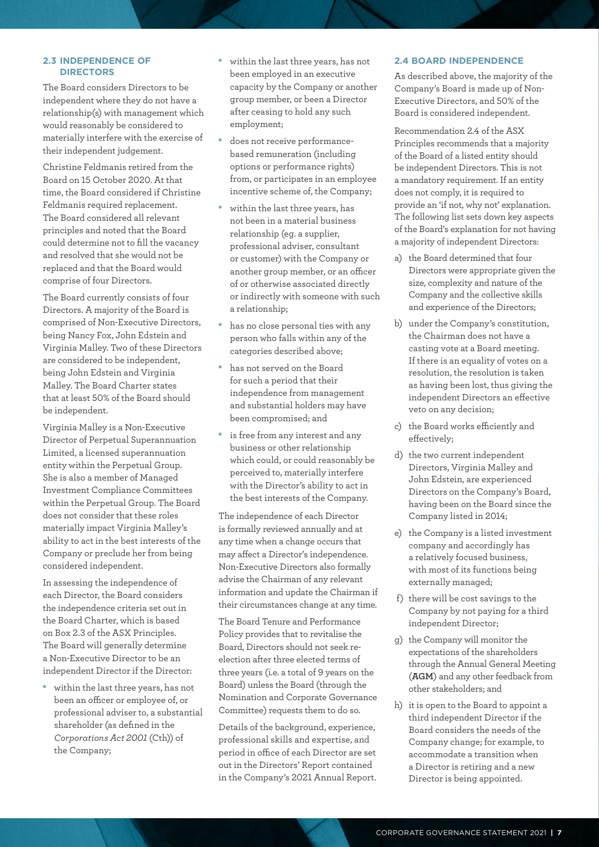#### **2.3 INDEPENDENCE OF DIRECTORS**

The Board considers Directors to be independent where they do not have a relationship(s) with management which would reasonably be considered to materially interfere with the exercise of their independent judgement.

Christine Feldmanis retired from the Board on 15 October 2020. At that time, the Board considered if Christine Feldmanis required replacement. The Board considered all relevant principles and noted that the Board could determine not to fill the vacancy and resolved that she would not be replaced and that the Board would comprise of four Directors.

The Board currently consists of four Directors. A majority of the Board is comprised of Non-Executive Directors, being Nancy Fox, John Edstein and Virginia Malley. Two of these Directors are considered to be independent, being John Edstein and Virginia Malley. The Board Charter states that at least 50% of the Board should be independent.

Virginia Malley is a Non-Executive Director of Perpetual Superannuation Limited, a licensed superannuation entity within the Perpetual Group. She is also a member of Managed Investment Compliance Committees within the Perpetual Group. The Board does not consider that these roles materially impact Virginia Malley's ability to act in the best interests of the Company or preclude her from being considered independent.

In assessing the independence of each Director, the Board considers the independence criteria set out in the Board Charter, which is based on Box 2.3 of the ASX Principles. The Board will generally determine a Non-Executive Director to be an independent Director if the Director:

within the last three years, has not been an officer or employee of, or professional adviser to, a substantial shareholder (as defined in the *Corporations Act 2001* (Cth)) of the Company;

- within the last three years, has not been employed in an executive capacity by the Company or another group member, or been a Director after ceasing to hold any such employment;
- does not receive performancebased remuneration (including options or performance rights) from, or participates in an employee incentive scheme of, the Company;
- • within the last three years, has not been in a material business relationship (eg. a supplier, professional adviser, consultant or customer) with the Company or another group member, or an officer of or otherwise associated directly or indirectly with someone with such a relationship;
- • has no close personal ties with any person who falls within any of the categories described above;
- • has not served on the Board for such a period that their independence from management and substantial holders may have been compromised; and
- • is free from any interest and any business or other relationship which could, or could reasonably be perceived to, materially interfere with the Director's ability to act in the best interests of the Company.

The independence of each Director is formally reviewed annually and at any time when a change occurs that may affect a Director's independence. Non-Executive Directors also formally advise the Chairman of any relevant information and update the Chairman if their circumstances change at any time.

The Board Tenure and Performance Policy provides that to revitalise the Board, Directors should not seek reelection after three elected terms of three years (i.e. a total of 9 years on the Board) unless the Board (through the Nomination and Corporate Governance Committee) requests them to do so.

Details of the background, experience, professional skills and expertise, and period in office of each Director are set out in the Directors' Report contained in the Company's 2021 Annual Report. in the Company's 2021 Annual Report. The range of skills, experience and the Company's 2021 Annual Report.

# **2.4 BOARD INDEPENDENCE**

As described above, the majority of the Company's Board is made up of Non-Executive Directors, and 50% of the Board is considered independent.

Recommendation 2.4 of the ASX Principles recommends that a majority of the Board of a listed entity should be independent Directors. This is not a mandatory requirement. If an entity does not comply, it is required to provide an 'if not, why not' explanation. The following list sets down key aspects of the Board's explanation for not having a majority of independent Directors:

- a) the Board determined that four Directors were appropriate given the size, complexity and nature of the Company and the collective skills and experience of the Directors;
- b) under the Company's constitution, the Chairman does not have a casting vote at a Board meeting. If there is an equality of votes on a resolution, the resolution is taken as having been lost, thus giving the independent Directors an effective veto on any decision;
- c) the Board works efficiently and effectively;
- d) the two current independent Directors, Virginia Malley and John Edstein, are experienced Directors on the Company's Board, having been on the Board since the Company listed in 2014;
- e) the Company is a listed investment company and accordingly has a relatively focused business, with most of its functions being externally managed;
- f) there will be cost savings to the Company by not paying for a third independent Director;
- g) the Company will monitor the expectations of the shareholders through the Annual General Meeting (**AGM**) and any other feedback from other stakeholders; and
- h) it is open to the Board to appoint a third independent Director if the Board considers the needs of the Company change; for example, to accommodate a transition when a Director is retiring and a new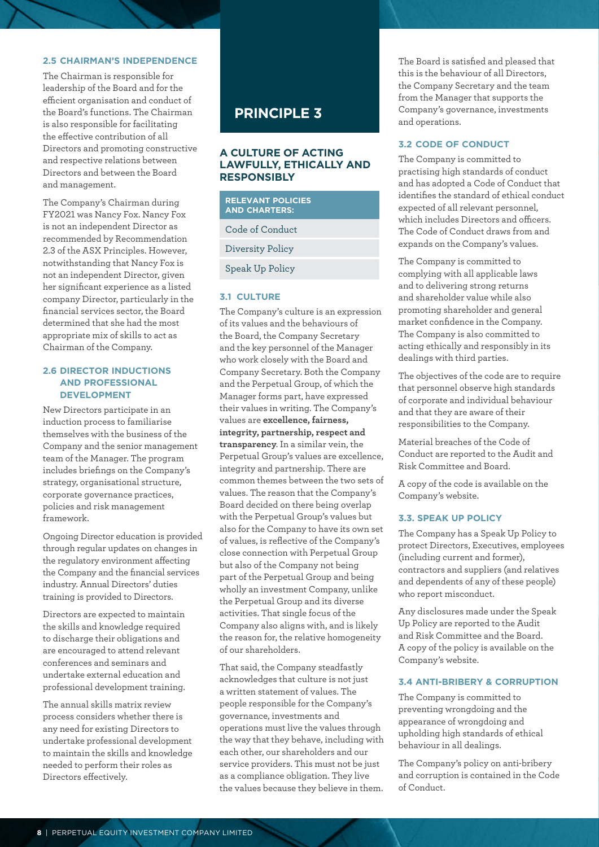### **2.5 CHAIRMAN'S INDEPENDENCE**

The Chairman is responsible for leadership of the Board and for the efficient organisation and conduct of the Board's functions. The Chairman is also responsible for facilitating the effective contribution of all Directors and promoting constructive and respective relations between Directors and between the Board and management.

The Company's Chairman during FY2021 was Nancy Fox. Nancy Fox is not an independent Director as recommended by Recommendation 2.3 of the ASX Principles. However, notwithstanding that Nancy Fox is not an independent Director, given her significant experience as a listed company Director, particularly in the financial services sector, the Board determined that she had the most appropriate mix of skills to act as Chairman of the Company.

### **2.6 DIRECTOR INDUCTIONS AND PROFESSIONAL DEVELOPMENT**

New Directors participate in an induction process to familiarise themselves with the business of the Company and the senior management team of the Manager. The program includes briefings on the Company's strategy, organisational structure, corporate governance practices, policies and risk management framework.

Ongoing Director education is provided through regular updates on changes in the regulatory environment affecting the Company and the financial services industry. Annual Directors' duties training is provided to Directors.

Directors are expected to maintain the skills and knowledge required to discharge their obligations and are encouraged to attend relevant conferences and seminars and undertake external education and professional development training.

The annual skills matrix review process considers whether there is any need for existing Directors to undertake professional development to maintain the skills and knowledge needed to perform their roles as Directors effectively.

# **PRINCIPLE 3**

# **A CULTURE OF ACTING LAWFULLY, ETHICALLY AND RESPONSIBLY**

| <b>RELEVANT POLICIES</b><br><b>AND CHARTERS:</b> |  |
|--------------------------------------------------|--|
| Code of Conduct                                  |  |
| Diversity Policy                                 |  |
| <b>Speak Up Policy</b>                           |  |
|                                                  |  |

# **3.1 CULTURE**

The Company's culture is an expression of its values and the behaviours of the Board, the Company Secretary and the key personnel of the Manager who work closely with the Board and Company Secretary. Both the Company and the Perpetual Group, of which the Manager forms part, have expressed their values in writing. The Company's values are **excellence, fairness, integrity, partnership, respect and transparency**. In a similar vein, the Perpetual Group's values are excellence, integrity and partnership. There are common themes between the two sets of values. The reason that the Company's Board decided on there being overlap with the Perpetual Group's values but also for the Company to have its own set of values, is reflective of the Company's close connection with Perpetual Group but also of the Company not being part of the Perpetual Group and being wholly an investment Company, unlike the Perpetual Group and its diverse activities. That single focus of the Company also aligns with, and is likely the reason for, the relative homogeneity of our shareholders.

That said, the Company steadfastly acknowledges that culture is not just a written statement of values. The people responsible for the Company's governance, investments and operations must live the values through the way that they behave, including with each other, our shareholders and our service providers. This must not be just as a compliance obligation. They live the values because they believe in them.

The Board is satisfied and pleased that this is the behaviour of all Directors, the Company Secretary and the team from the Manager that supports the Company's governance, investments and operations.

# **3.2 CODE OF CONDUCT**

The Company is committed to practising high standards of conduct and has adopted a Code of Conduct that identifies the standard of ethical conduct expected of all relevant personnel, which includes Directors and officers. The Code of Conduct draws from and expands on the Company's values.

The Company is committed to complying with all applicable laws and to delivering strong returns and shareholder value while also promoting shareholder and general market confidence in the Company. The Company is also committed to acting ethically and responsibly in its dealings with third parties.

The objectives of the code are to require that personnel observe high standards of corporate and individual behaviour and that they are aware of their responsibilities to the Company.

Material breaches of the Code of Conduct are reported to the Audit and Risk Committee and Board.

A copy of the code is available on the Company's website.

#### **3.3. SPEAK UP POLICY**

The Company has a Speak Up Policy to protect Directors, Executives, employees (including current and former), contractors and suppliers (and relatives and dependents of any of these people) who report misconduct.

Any disclosures made under the Speak Up Policy are reported to the Audit and Risk Committee and the Board. A copy of the policy is available on the Company's website.

# **3.4 ANTI-BRIBERY & CORRUPTION**

The Company is committed to preventing wrongdoing and the appearance of wrongdoing and upholding high standards of ethical behaviour in all dealings.

The Company's policy on anti-bribery and corruption is contained in the Code of Conduct.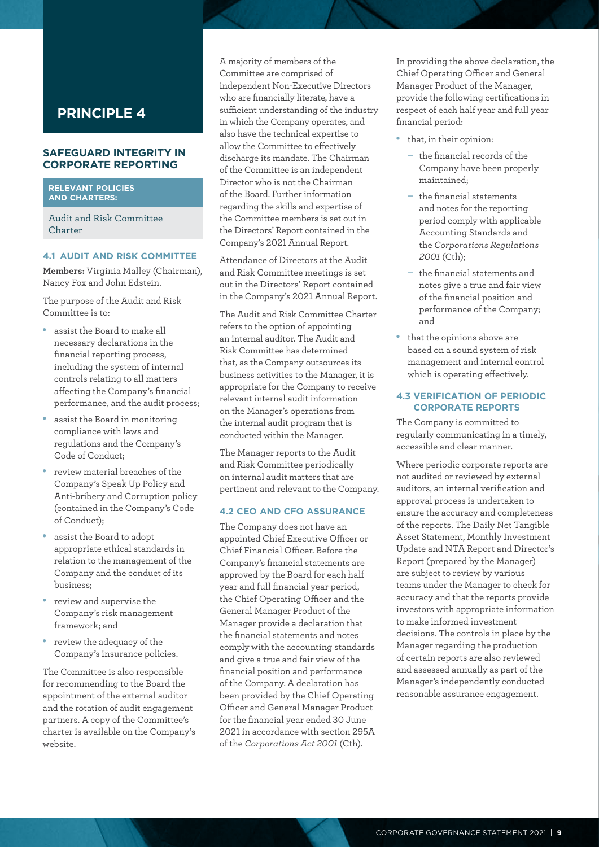### **SAFEGUARD INTEGRITY IN CORPORATE REPORTING**

#### **RELEVANT POLICIES AND CHARTERS:**

Audit and Risk Committee Charter

### **4.1 AUDIT AND RISK COMMITTEE**

**Members:** Virginia Malley (Chairman), Nancy Fox and John Edstein.

The purpose of the Audit and Risk Committee is to:

- assist the Board to make all necessary declarations in the financial reporting process, including the system of internal controls relating to all matters affecting the Company's financial performance, and the audit process;
- assist the Board in monitoring compliance with laws and regulations and the Company's Code of Conduct;
- review material breaches of the Company's Speak Up Policy and Anti-bribery and Corruption policy (contained in the Company's Code of Conduct);
- assist the Board to adopt appropriate ethical standards in relation to the management of the Company and the conduct of its business;
- review and supervise the Company's risk management framework; and
- review the adequacy of the Company's insurance policies.

The Committee is also responsible for recommending to the Board the appointment of the external auditor and the rotation of audit engagement partners. A copy of the Committee's charter is available on the Company's website.

A majority of members of the Committee are comprised of independent Non-Executive Directors who are financially literate, have a sufficient understanding of the industry in which the Company operates, and also have the technical expertise to allow the Committee to effectively discharge its mandate. The Chairman of the Committee is an independent Director who is not the Chairman of the Board. Further information regarding the skills and expertise of the Committee members is set out in the Directors' Report contained in the Company's 2021 Annual Report.

Attendance of Directors at the Audit and Risk Committee meetings is set out in the Directors' Report contained in the Company's 2021 Annual Report.

The Audit and Risk Committee Charter refers to the option of appointing an internal auditor. The Audit and Risk Committee has determined that, as the Company outsources its business activities to the Manager, it is appropriate for the Company to receive relevant internal audit information on the Manager's operations from the internal audit program that is conducted within the Manager.

The Manager reports to the Audit and Risk Committee periodically on internal audit matters that are pertinent and relevant to the Company.

#### **4.2 CEO AND CFO ASSURANCE**

The Company does not have an appointed Chief Executive Officer or Chief Financial Officer. Before the Company's financial statements are approved by the Board for each half year and full financial year period, the Chief Operating Officer and the General Manager Product of the Manager provide a declaration that the financial statements and notes comply with the accounting standards and give a true and fair view of the financial position and performance of the Company. A declaration has been provided by the Chief Operating Officer and General Manager Product for the financial year ended 30 June 2021 in accordance with section 295A of the *Corporations Act 2001* (Cth).

In providing the above declaration, the Chief Operating Officer and General Manager Product of the Manager, provide the following certifications in respect of each half year and full year financial period:

- that, in their opinion:
	- the financial records of the Company have been properly maintained;
	- the financial statements and notes for the reporting period comply with applicable Accounting Standards and the *Corporations Regulations 2001* (Cth);
	- the financial statements and notes give a true and fair view of the financial position and performance of the Company; and
- • that the opinions above are based on a sound system of risk management and internal control which is operating effectively.

#### **4.3 VERIFICATION OF PERIODIC CORPORATE REPORTS**

The Company is committed to regularly communicating in a timely, accessible and clear manner.

Where periodic corporate reports are not audited or reviewed by external auditors, an internal verification and approval process is undertaken to ensure the accuracy and completeness of the reports. The Daily Net Tangible Asset Statement, Monthly Investment Update and NTA Report and Director's Report (prepared by the Manager) are subject to review by various teams under the Manager to check for accuracy and that the reports provide investors with appropriate information to make informed investment decisions. The controls in place by the Manager regarding the production of certain reports are also reviewed and assessed annually as part of the Manager's independently conducted reasonable assurance engagement.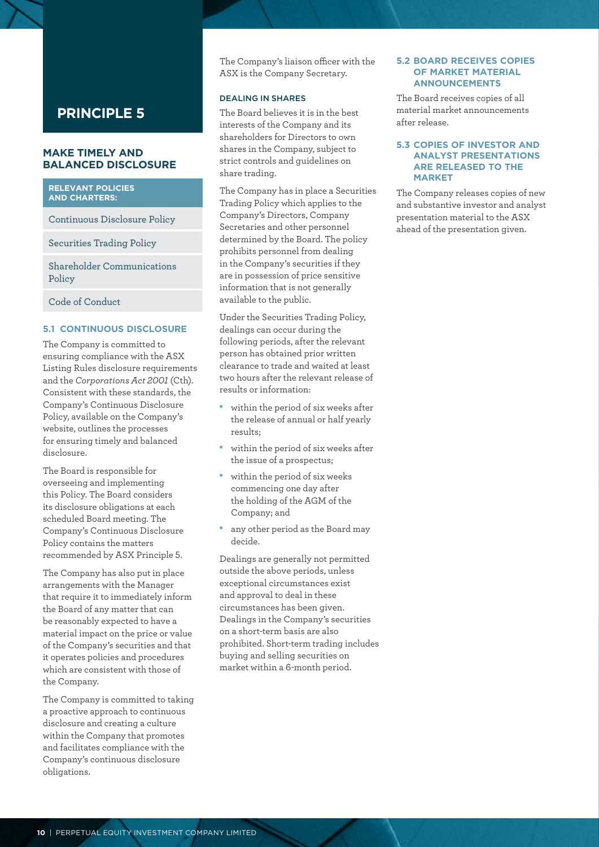# **MAKE TIMELY AND BALANCED DISCLOSURE**

#### **RELEVANT POLICIES AND CHARTERS:**

Continuous Disclosure Policy

Securities Trading Policy

Shareholder Communications Policy

Code of Conduct

# **5.1 CONTINUOUS DISCLOSURE**

The Company is committed to ensuring compliance with the ASX Listing Rules disclosure requirements and the *Corporations Act 2001* (Cth). Consistent with these standards, the Company's Continuous Disclosure Policy, available on the Company's website, outlines the processes for ensuring timely and balanced disclosure.

The Board is responsible for overseeing and implementing this Policy. The Board considers its disclosure obligations at each scheduled Board meeting. The Company's Continuous Disclosure Policy contains the matters recommended by ASX Principle 5.

The Company has also put in place arrangements with the Manager that require it to immediately inform the Board of any matter that can be reasonably expected to have a material impact on the price or value of the Company's securities and that it operates policies and procedures which are consistent with those of the Company.

The Company is committed to taking a proactive approach to continuous disclosure and creating a culture within the Company that promotes and facilitates compliance with the Company's continuous disclosure obligations.

The Company's liaison officer with the ASX is the Company Secretary.

#### DEALING IN SHARES

The Board believes it is in the best interests of the Company and its shareholders for Directors to own shares in the Company, subject to strict controls and guidelines on share trading.

The Company has in place a Securities Trading Policy which applies to the Company's Directors, Company Secretaries and other personnel determined by the Board. The policy prohibits personnel from dealing in the Company's securities if they are in possession of price sensitive information that is not generally available to the public.

Under the Securities Trading Policy, dealings can occur during the following periods, after the relevant person has obtained prior written clearance to trade and waited at least two hours after the relevant release of results or information:

- within the period of six weeks after the release of annual or half yearly results;
- • within the period of six weeks after the issue of a prospectus;
- within the period of six weeks commencing one day after the holding of the AGM of the Company; and
- any other period as the Board may decide.

Dealings are generally not permitted outside the above periods, unless exceptional circumstances exist and approval to deal in these circumstances has been given. Dealings in the Company's securities on a short-term basis are also prohibited. Short-term trading includes buying and selling securities on market within a 6-month period.

### **5.2 BOARD RECEIVES COPIES OF MARKET MATERIAL ANNOUNCEMENTS**

The Board receives copies of all material market announcements after release.

#### **5.3 COPIES OF INVESTOR AND ANALYST PRESENTATIONS ARE RELEASED TO THE MARKET**

The Company releases copies of new and substantive investor and analyst presentation material to the ASX ahead of the presentation given.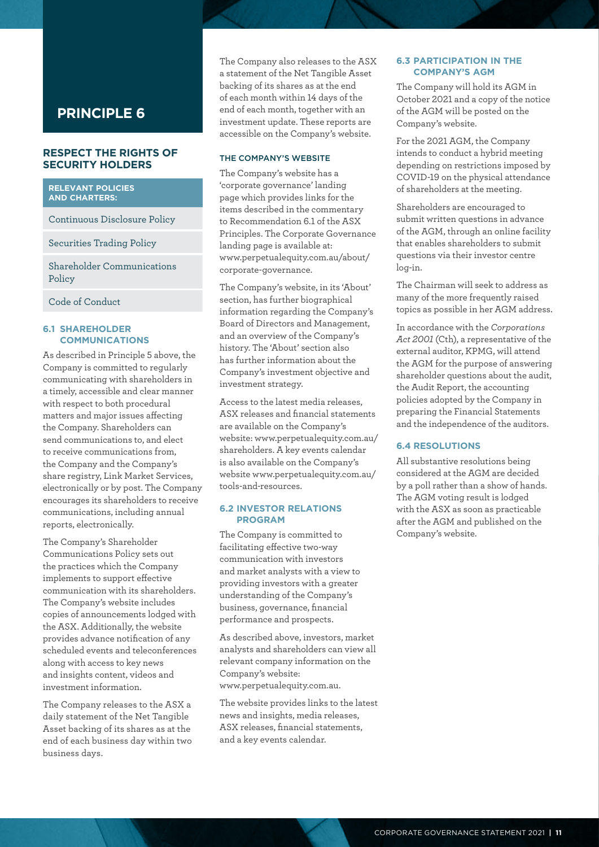# **RESPECT THE RIGHTS OF SECURITY HOLDERS**

#### **RELEVANT POLICIES AND CHARTERS:**

Continuous Disclosure Policy

Securities Trading Policy

Shareholder Communications Policy

Code of Conduct

#### **6.1 SHAREHOLDER COMMUNICATIONS**

As described in Principle 5 above, the Company is committed to regularly communicating with shareholders in a timely, accessible and clear manner with respect to both procedural matters and major issues affecting the Company. Shareholders can send communications to, and elect to receive communications from, the Company and the Company's share registry, Link Market Services, electronically or by post. The Company encourages its shareholders to receive communications, including annual reports, electronically.

The Company's Shareholder Communications Policy sets out the practices which the Company implements to support effective communication with its shareholders. The Company's website includes copies of announcements lodged with the ASX. Additionally, the website provides advance notification of any scheduled events and teleconferences along with access to key news and insights content, videos and investment information.

The Company releases to the ASX a daily statement of the Net Tangible Asset backing of its shares as at the end of each business day within two business days.

The Company also releases to the ASX a statement of the Net Tangible Asset backing of its shares as at the end of each month within 14 days of the end of each month, together with an investment update. These reports are accessible on the Company's website.

#### THE COMPANY'S WEBSITE

The Company's website has a 'corporate governance' landing page which provides links for the items described in the commentary to Recommendation 6.1 of the ASX Principles. The Corporate Governance landing page is available at: [www.perpetualequity.com.au/about/](http://www.perpetualequity.com.au/about/corporate-governance)  [corporate-governance.](http://www.perpetualequity.com.au/about/corporate-governance)

The Company's website, in its 'About' section, has further biographical information regarding the Company's Board of Directors and Management, and an overview of the Company's history. The 'About' section also has further information about the Company's investment objective and investment strategy.

Access to the latest media releases, ASX releases and financial statements are available on the Company's website: [www.perpetualequity.com.au/](https://www.perpetualequity.com.au/shareholders)  shareholders. A key events calendar is also available on the Company's website [www.perpetualequity.com.au/](http://www.perpetualequity.com.au/tools-and-resources)  [tools](http://www.perpetualequity.com.au/shareholders)-and-resources.

#### **6.2 INVESTOR RELATIONS PROGRAM**

The Company is committed to facilitating effective two-way communication with investors and market analysts with a view to providing investors with a greater understanding of the Company's business, governance, financial performance and prospects.

As described above, investors, market analysts and shareholders can view all relevant company information on the Company's website: [www.perpetualequity.com.au.](http://www.perpetualequity.com.au/)

The website provides links to the latest news and insights, media releases, ASX releases, financial statements, and a key events calendar.

#### **6.3 PARTICIPATION IN THE COMPANY'S AGM**

The Company will hold its AGM in October 2021 and a copy of the notice of the AGM will be posted on the Company's website.

For the 2021 AGM, the Company intends to conduct a hybrid meeting depending on restrictions imposed by COVID-19 on the physical attendance of shareholders at the meeting.

Shareholders are encouraged to submit written questions in advance of the AGM, through an online facility that enables shareholders to submit questions via their investor centre log-in.

The Chairman will seek to address as many of the more frequently raised topics as possible in her AGM address.

In accordance with the *Corporations Act 2001* (Cth), a representative of the external auditor, KPMG, will attend the AGM for the purpose of answering shareholder questions about the audit, the Audit Report, the accounting policies adopted by the Company in preparing the Financial Statements and the independence of the auditors.

# **6.4 RESOLUTIONS**

All substantive resolutions being considered at the AGM are decided by a poll rather than a show of hands. The AGM voting result is lodged with the ASX as soon as practicable after the AGM and published on the Company's website.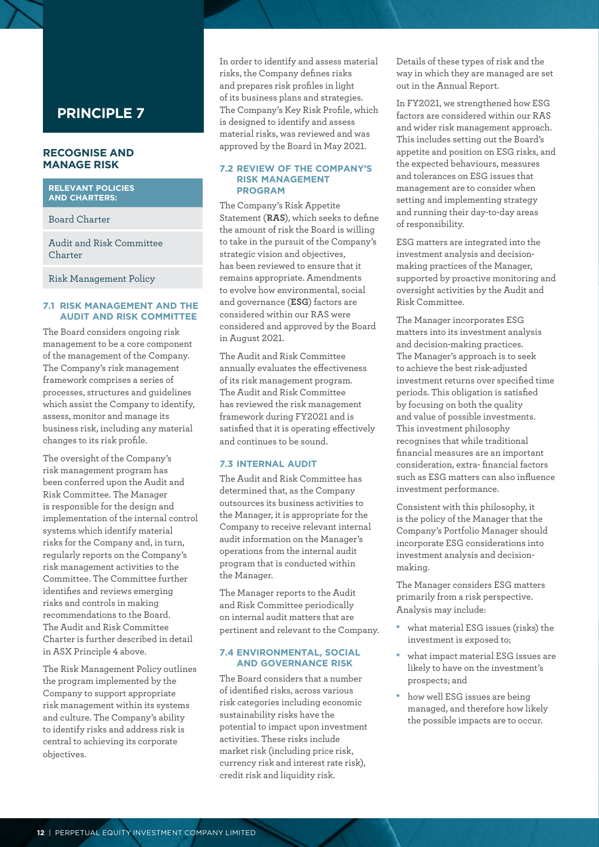# **RECOGNISE AND MANAGE RISK**

**RELEVANT POLICIES AND CHARTERS:**

Board Charter

Audit and Risk Committee Charter

Risk Management Policy

#### **7.1 RISK MANAGEMENT AND THE AUDIT AND RISK COMMITTEE**

The Board considers ongoing risk management to be a core component of the management of the Company. The Company's risk management framework comprises a series of processes, structures and guidelines which assist the Company to identify, assess, monitor and manage its business risk, including any material changes to its risk profile.

The oversight of the Company's risk management program has been conferred upon the Audit and Risk Committee. The Manager is responsible for the design and implementation of the internal control systems which identify material risks for the Company and, in turn, regularly reports on the Company's risk management activities to the Committee. The Committee further identifies and reviews emerging risks and controls in making recommendations to the Board. The Audit and Risk Committee Charter is further described in detail in ASX Principle 4 above.

The Risk Management Policy outlines the program implemented by the Company to support appropriate risk management within its systems and culture. The Company's ability to identify risks and address risk is central to achieving its corporate objectives.

In order to identify and assess material risks, the Company defines risks and prepares risk profiles in light of its business plans and strategies. The Company's Key Risk Profile, which is designed to identify and assess material risks, was reviewed and was approved by the Board in May 2021.

#### **7.2 REVIEW OF THE COMPANY'S RISK MANAGEMENT PROGRAM**

The Company's Risk Appetite Statement (**RAS**), which seeks to define the amount of risk the Board is willing to take in the pursuit of the Company's strategic vision and objectives, has been reviewed to ensure that it remains appropriate. Amendments to evolve how environmental, social and governance (**ESG**) factors are considered within our RAS were considered and approved by the Board in August 2021.

The Audit and Risk Committee annually evaluates the effectiveness of its risk management program. The Audit and Risk Committee has reviewed the risk management framework during FY2021 and is satisfied that it is operating effectively and continues to be sound.

# **7.3 INTERNAL AUDIT**

The Audit and Risk Committee has determined that, as the Company outsources its business activities to the Manager, it is appropriate for the Company to receive relevant internal audit information on the Manager's operations from the internal audit program that is conducted within the Manager.

The Manager reports to the Audit and Risk Committee periodically on internal audit matters that are pertinent and relevant to the Company.

#### **7.4 ENVIRONMENTAL, SOCIAL AND GOVERNANCE RISK**

The Board considers that a number of identified risks, across various risk categories including economic sustainability risks have the potential to impact upon investment activities. These risks include market risk (including price risk, currency risk and interest rate risk), credit risk and liquidity risk.

Details of these types of risk and the way in which they are managed are set out in the Annual Report.

In FY2021, we strengthened how ESG factors are considered within our RAS and wider risk management approach. This includes setting out the Board's appetite and position on ESG risks, and the expected behaviours, measures and tolerances on ESG issues that management are to consider when setting and implementing strategy and running their day-to-day areas of responsibility.

ESG matters are integrated into the investment analysis and decisionmaking practices of the Manager, supported by proactive monitoring and oversight activities by the Audit and Risk Committee.

The Manager incorporates ESG matters into its investment analysis and decision-making practices. The Manager's approach is to seek to achieve the best risk-adjusted investment returns over specified time periods. This obligation is satisfied by focusing on both the quality and value of possible investments. This investment philosophy recognises that while traditional financial measures are an important consideration, extra- financial factors such as ESG matters can also influence investment performance.

Consistent with this philosophy, it is the policy of the Manager that the Company's Portfolio Manager should incorporate ESG considerations into investment analysis and decisionmaking.

The Manager considers ESG matters primarily from a risk perspective. Analysis may include:

- what material ESG issues (risks) the investment is exposed to;
- what impact material ESG issues are likely to have on the investment's prospects; and
- how well ESG issues are being managed, and therefore how likely the possible impacts are to occur.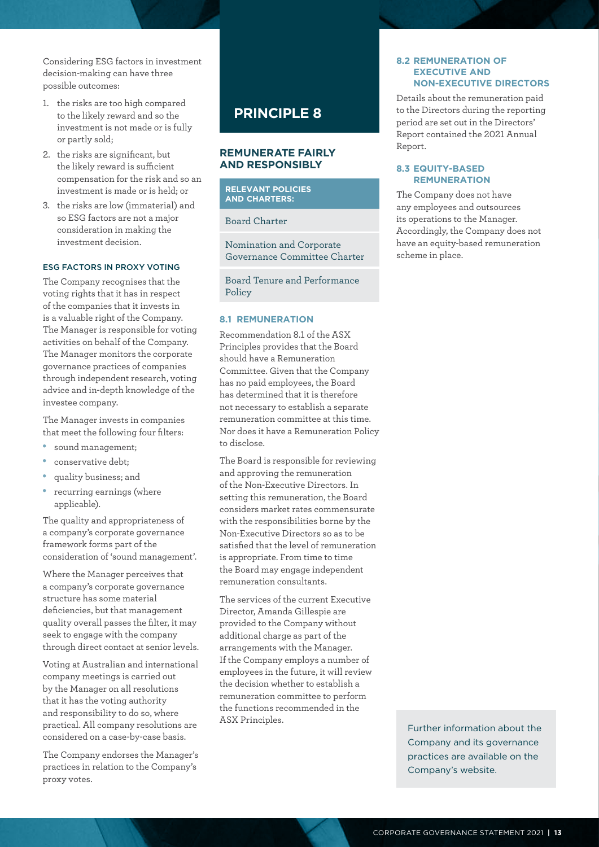Considering ESG factors in investment decision-making can have three possible outcomes:

- 1. the risks are too high compared to the likely reward and so the investment is not made or is fully or partly sold;
- 2. the risks are significant, but the likely reward is sufficient compensation for the risk and so an investment is made or is held; or
- 3. the risks are low (immaterial) and so ESG factors are not a major consideration in making the investment decision.

### ESG FACTORS IN PROXY VOTING

The Company recognises that the voting rights that it has in respect of the companies that it invests in is a valuable right of the Company. The Manager is responsible for voting activities on behalf of the Company. The Manager monitors the corporate governance practices of companies through independent research, voting advice and in-depth knowledge of the investee company.

The Manager invests in companies that meet the following four filters:

- sound management;
- conservative debt;
- quality business; and
- recurring earnings (where applicable).

The quality and appropriateness of a company's corporate governance framework forms part of the consideration of 'sound management'.

Where the Manager perceives that a company's corporate governance structure has some material deficiencies, but that management quality overall passes the filter, it may seek to engage with the company through direct contact at senior levels.

Voting at Australian and international company meetings is carried out by the Manager on all resolutions that it has the voting authority and responsibility to do so, where practical. All company resolutions are considered on a case-by-case basis.

The Company endorses the Manager's practices in relation to the Company's proxy votes.

# **PRINCIPLE 8**

### **REMUNERATE FAIRLY AND RESPONSIBLY**

**RELEVANT POLICIES AND CHARTERS:**

# Board Charter

Nomination and Corporate Governance Committee Charter

Board Tenure and Performance Policy

#### **8.1 REMUNERATION**

Recommendation 8.1 of the ASX Principles provides that the Board should have a Remuneration Committee. Given that the Company has no paid employees, the Board has determined that it is therefore not necessary to establish a separate remuneration committee at this time. Nor does it have a Remuneration Policy to disclose.

The Board is responsible for reviewing and approving the remuneration of the Non-Executive Directors. In setting this remuneration, the Board considers market rates commensurate with the responsibilities borne by the Non-Executive Directors so as to be satisfied that the level of remuneration is appropriate. From time to time the Board may engage independent remuneration consultants.

The services of the current Executive Director, Amanda Gillespie are provided to the Company without additional charge as part of the arrangements with the Manager. If the Company employs a number of employees in the future, it will review the decision whether to establish a remuneration committee to perform the functions recommended in the ASX Principles.<br>
Further information about the

#### **8.2 REMUNERATION OF EXECUTIVE AND NON-EXECUTIVE DIRECTORS**

Details about the remuneration paid to the Directors during the reporting period are set out in the Directors' Report contained the 2021 Annual Report.

#### **8.3 EQUITY-BASED REMUNERATION**

The Company does not have any employees and outsources its operations to the Manager. Accordingly, the Company does not have an equity-based remuneration scheme in place.

Company and its governance practices are available on the Company's website.